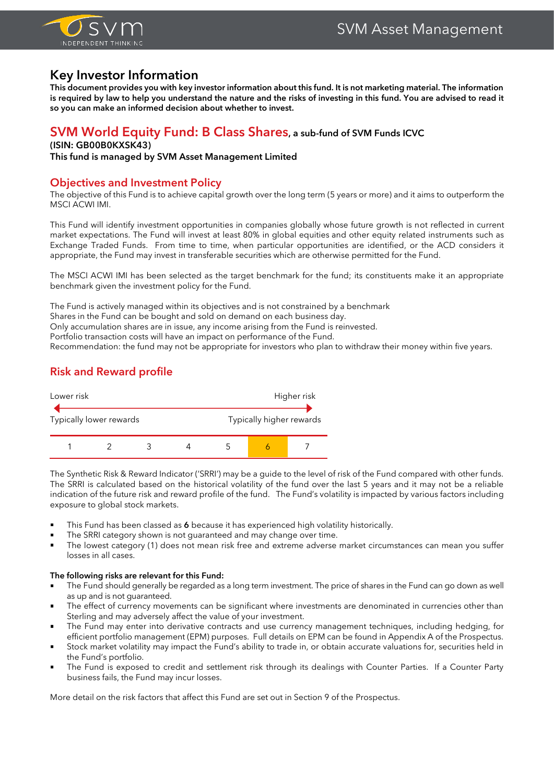

# **Key Investor Information**

**This document provides you with key investor information about this fund. It is not marketing material. The information is required by law to help you understand the nature and the risks of investing in this fund. You are advised to read it so you can make an informed decision about whether to invest.**

# **SVM World Equity Fund: B Class Shares, a sub-fund of SVM Funds ICVC**

### **(ISIN: GB00B0KXSK43)**

**This fund is managed by SVM Asset Management Limited**

### **Objectives and Investment Policy**

The objective of this Fund is to achieve capital growth over the long term (5 years or more) and it aims to outperform the MSCI ACWI IMI.

This Fund will identify investment opportunities in companies globally whose future growth is not reflected in current market expectations. The Fund will invest at least 80% in global equities and other equity related instruments such as Exchange Traded Funds. From time to time, when particular opportunities are identified, or the ACD considers it appropriate, the Fund may invest in transferable securities which are otherwise permitted for the Fund.

The MSCI ACWI IMI has been selected as the target benchmark for the fund; its constituents make it an appropriate benchmark given the investment policy for the Fund.

The Fund is actively managed within its objectives and is not constrained by a benchmark

Shares in the Fund can be bought and sold on demand on each business day.

Only accumulation shares are in issue, any income arising from the Fund is reinvested.

Portfolio transaction costs will have an impact on performance of the Fund.

Recommendation: the fund may not be appropriate for investors who plan to withdraw their money within five years.

# **Risk and Reward profile**



The Synthetic Risk & Reward Indicator ('SRRI') may be a guide to the level of risk of the Fund compared with other funds. The SRRI is calculated based on the historical volatility of the fund over the last 5 years and it may not be a reliable indication of the future risk and reward profile of the fund. The Fund's volatility is impacted by various factors including exposure to global stock markets.

- This Fund has been classed as 6 because it has experienced high volatility historically.
- The SRRI category shown is not guaranteed and may change over time.
- The lowest category (1) does not mean risk free and extreme adverse market circumstances can mean you suffer losses in all cases.

### **The following risks are relevant for this Fund:**

- The Fund should generally be regarded as a long term investment. The price of shares in the Fund can go down as well as up and is not guaranteed.
- The effect of currency movements can be significant where investments are denominated in currencies other than Sterling and may adversely affect the value of your investment.
- The Fund may enter into derivative contracts and use currency management techniques, including hedging, for efficient portfolio management (EPM) purposes. Full details on EPM can be found in Appendix A of the Prospectus.
- Stock market volatility may impact the Fund's ability to trade in, or obtain accurate valuations for, securities held in the Fund's portfolio.
- The Fund is exposed to credit and settlement risk through its dealings with Counter Parties. If a Counter Party business fails, the Fund may incur losses.

More detail on the risk factors that affect this Fund are set out in Section 9 of the Prospectus.